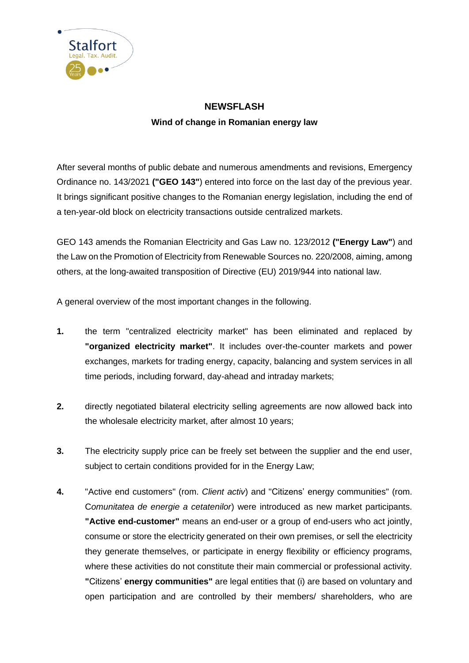

## **NEWSFLASH Wind of change in Romanian energy law**

After several months of public debate and numerous amendments and revisions, Emergency Ordinance no. 143/2021 **("GEO 143"**) entered into force on the last day of the previous year. It brings significant positive changes to the Romanian energy legislation, including the end of a ten-year-old block on electricity transactions outside centralized markets.

GEO 143 amends the Romanian Electricity and Gas Law no. 123/2012 **("Energy Law"**) and the Law on the Promotion of Electricity from Renewable Sources no. 220/2008, aiming, among others, at the long-awaited transposition of Directive (EU) 2019/944 into national law.

A general overview of the most important changes in the following.

- **1.** the term "centralized electricity market" has been eliminated and replaced by **"organized electricity market"**. It includes over-the-counter markets and power exchanges, markets for trading energy, capacity, balancing and system services in all time periods, including forward, day-ahead and intraday markets;
- **2.** directly negotiated bilateral electricity selling agreements are now allowed back into the wholesale electricity market, after almost 10 years;
- **3.** The electricity supply price can be freely set between the supplier and the end user, subject to certain conditions provided for in the Energy Law;
- **4.** "Active end customers" (rom. *Client activ*) and "Citizens' energy communities" (rom. C*omunitatea de energie a cetatenilor*) were introduced as new market participants. **"Active end-customer"** means an end-user or a group of end-users who act jointly, consume or store the electricity generated on their own premises, or sell the electricity they generate themselves, or participate in energy flexibility or efficiency programs, where these activities do not constitute their main commercial or professional activity. **"**Citizens' **energy communities"** are legal entities that (i) are based on voluntary and open participation and are controlled by their members/ shareholders, who are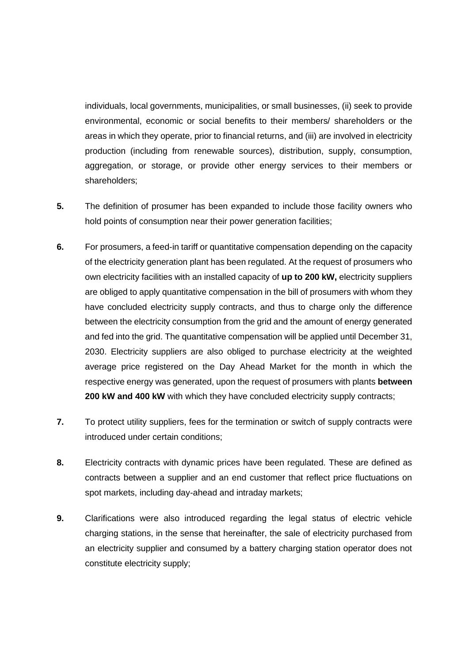individuals, local governments, municipalities, or small businesses, (ii) seek to provide environmental, economic or social benefits to their members/ shareholders or the areas in which they operate, prior to financial returns, and (iii) are involved in electricity production (including from renewable sources), distribution, supply, consumption, aggregation, or storage, or provide other energy services to their members or shareholders;

- **5.** The definition of prosumer has been expanded to include those facility owners who hold points of consumption near their power generation facilities;
- **6.** For prosumers, a feed-in tariff or quantitative compensation depending on the capacity of the electricity generation plant has been regulated. At the request of prosumers who own electricity facilities with an installed capacity of **up to 200 kW,** electricity suppliers are obliged to apply quantitative compensation in the bill of prosumers with whom they have concluded electricity supply contracts, and thus to charge only the difference between the electricity consumption from the grid and the amount of energy generated and fed into the grid. The quantitative compensation will be applied until December 31, 2030. Electricity suppliers are also obliged to purchase electricity at the weighted average price registered on the Day Ahead Market for the month in which the respective energy was generated, upon the request of prosumers with plants **between 200 kW and 400 kW** with which they have concluded electricity supply contracts;
- **7.** To protect utility suppliers, fees for the termination or switch of supply contracts were introduced under certain conditions;
- **8.** Electricity contracts with dynamic prices have been regulated. These are defined as contracts between a supplier and an end customer that reflect price fluctuations on spot markets, including day-ahead and intraday markets;
- **9.** Clarifications were also introduced regarding the legal status of electric vehicle charging stations, in the sense that hereinafter, the sale of electricity purchased from an electricity supplier and consumed by a battery charging station operator does not constitute electricity supply;